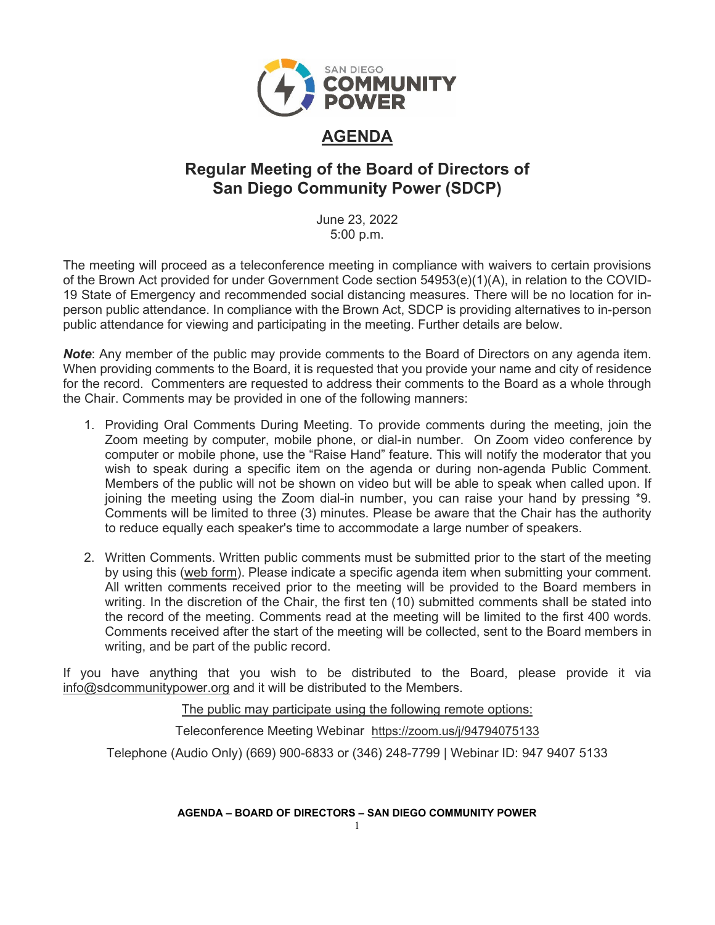

# **AGENDA**

# **Regular Meeting of the Board of Directors of San Diego Community Power (SDCP)**

June 23, 2022 5:00 p.m.

The meeting will proceed as a teleconference meeting in compliance with waivers to certain provisions of the Brown Act provided for under Government Code section 54953(e)(1)(A), in relation to the COVID-19 State of Emergency and recommended social distancing measures. There will be no location for inperson public attendance. In compliance with the Brown Act, SDCP is providing alternatives to in-person public attendance for viewing and participating in the meeting. Further details are below.

*Note*: Any member of the public may provide comments to the Board of Directors on any agenda item. When providing comments to the Board, it is requested that you provide your name and city of residence for the record. Commenters are requested to address their comments to the Board as a whole through the Chair. Comments may be provided in one of the following manners:

- 1. Providing Oral Comments During Meeting. To provide comments during the meeting, join the Zoom meeting by computer, mobile phone, or dial-in number. On Zoom video conference by computer or mobile phone, use the "Raise Hand" feature. This will notify the moderator that you wish to speak during a specific item on the agenda or during non-agenda Public Comment. Members of the public will not be shown on video but will be able to speak when called upon. If joining the meeting using the Zoom dial-in number, you can raise your hand by pressing \*9. Comments will be limited to three (3) minutes. Please be aware that the Chair has the authority to reduce equally each speaker's time to accommodate a large number of speakers.
- 2. Written Comments. Written public comments must be submitted prior to the start of the meeting by using this [\(web form\)](https://forms.office.com/Pages/ResponsePage.aspx?id=XSW4f6XpL0eDY7ffRWFpAXnBL1yZA6ZLqSFlS480ZGdUN0VKUzgxNVFUQkxNM0VFQUtES1ZYQ1lCSi4u). Please indicate a specific agenda item when submitting your comment. All written comments received prior to the meeting will be provided to the Board members in writing. In the discretion of the Chair, the first ten (10) submitted comments shall be stated into the record of the meeting. Comments read at the meeting will be limited to the first 400 words. Comments received after the start of the meeting will be collected, sent to the Board members in writing, and be part of the public record.

If you have anything that you wish to be distributed to the Board, please provide it via [info@sdcommunitypower.org](mailto:info@sdcommunitypower.org) and it will be distributed to the Members.

The public may participate using the following remote options:

Teleconference Meeting Webinar [https://zoom.us/j/94794075133](https://www.google.com/url?q=https://zoom.us/j/94794075133&sa=D&source=calendar&ust=1616887069364000&usg=AOvVaw2-U-6hPIHkok0FazSYm5lQ)

Telephone (Audio Only) (669) 900-6833 or (346) 248-7799 | Webinar ID: 947 9407 5133

**AGENDA – BOARD OF DIRECTORS – SAN DIEGO COMMUNITY POWER**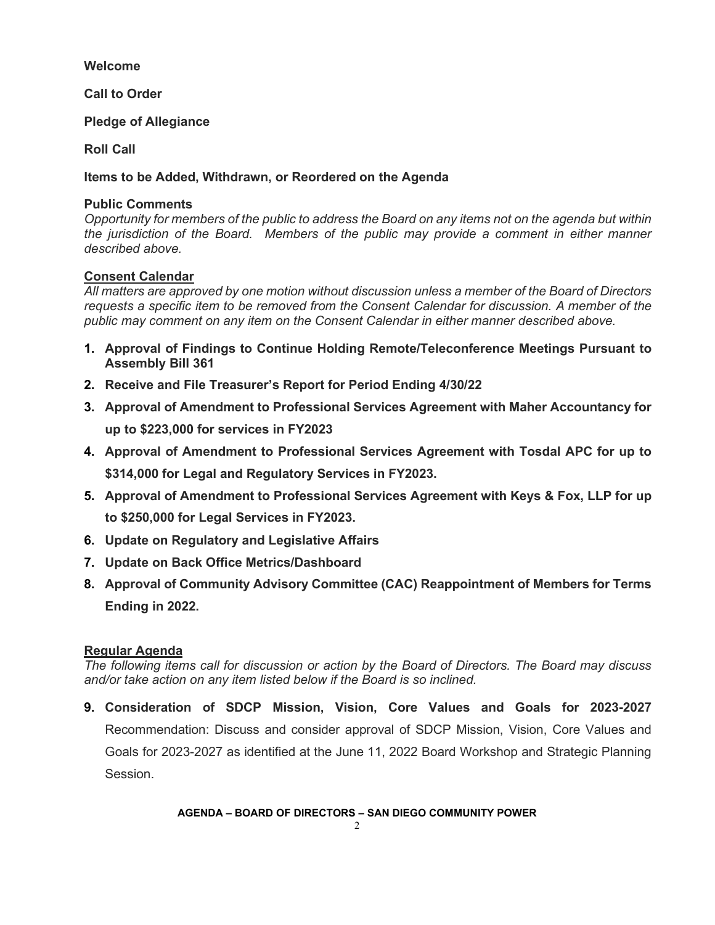### **Welcome**

**Call to Order**

**Pledge of Allegiance** 

**Roll Call**

**Items to be Added, Withdrawn, or Reordered on the Agenda**

### **Public Comments**

*Opportunity for members of the public to address the Board on any items not on the agenda but within the jurisdiction of the Board. Members of the public may provide a comment in either manner described above.* 

### **Consent Calendar**

*All matters are approved by one motion without discussion unless a member of the Board of Directors requests a specific item to be removed from the Consent Calendar for discussion. A member of the public may comment on any item on the Consent Calendar in either manner described above.* 

- **1. Approval of Findings to Continue Holding Remote/Teleconference Meetings Pursuant to Assembly Bill 361**
- **2. Receive and File Treasurer's Report for Period Ending 4/30/22**
- **3. Approval of Amendment to Professional Services Agreement with Maher Accountancy for up to \$223,000 for services in FY2023**
- **4. Approval of Amendment to Professional Services Agreement with Tosdal APC for up to \$314,000 for Legal and Regulatory Services in FY2023.**
- **5. Approval of Amendment to Professional Services Agreement with Keys & Fox, LLP for up to \$250,000 for Legal Services in FY2023.**
- **6. Update on Regulatory and Legislative Affairs**
- **7. Update on Back Office Metrics/Dashboard**
- **8. Approval of Community Advisory Committee (CAC) Reappointment of Members for Terms Ending in 2022.**

#### **Regular Agenda**

*The following items call for discussion or action by the Board of Directors. The Board may discuss and/or take action on any item listed below if the Board is so inclined.*

**9. Consideration of SDCP Mission, Vision, Core Values and Goals for 2023-2027**  Recommendation: Discuss and consider approval of SDCP Mission, Vision, Core Values and Goals for 2023-2027 as identified at the June 11, 2022 Board Workshop and Strategic Planning Session.